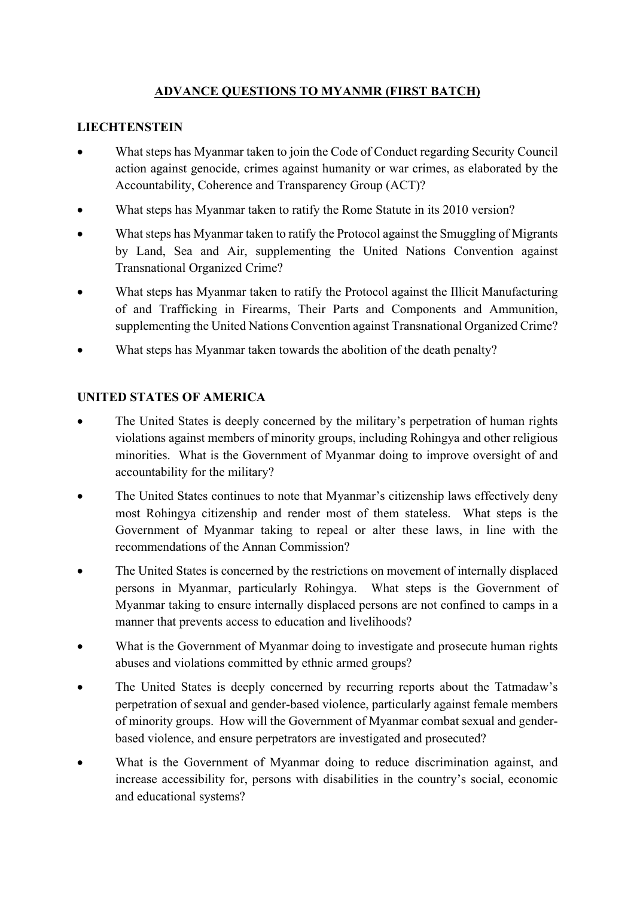# **ADVANCE QUESTIONS TO MYANMR (FIRST BATCH)**

### **LIECHTENSTEIN**

- What steps has Myanmar taken to join the Code of Conduct regarding Security Council action against genocide, crimes against humanity or war crimes, as elaborated by the Accountability, Coherence and Transparency Group (ACT)?
- What steps has Myanmar taken to ratify the Rome Statute in its 2010 version?
- What steps has Myanmar taken to ratify the Protocol against the Smuggling of Migrants by Land, Sea and Air, supplementing the United Nations Convention against Transnational Organized Crime?
- What steps has Myanmar taken to ratify the Protocol against the Illicit Manufacturing of and Trafficking in Firearms, Their Parts and Components and Ammunition, supplementing the United Nations Convention against Transnational Organized Crime?
- What steps has Myanmar taken towards the abolition of the death penalty?

#### **UNITED STATES OF AMERICA**

- The United States is deeply concerned by the military's perpetration of human rights violations against members of minority groups, including Rohingya and other religious minorities. What is the Government of Myanmar doing to improve oversight of and accountability for the military?
- The United States continues to note that Myanmar's citizenship laws effectively deny most Rohingya citizenship and render most of them stateless. What steps is the Government of Myanmar taking to repeal or alter these laws, in line with the recommendations of the Annan Commission?
- The United States is concerned by the restrictions on movement of internally displaced persons in Myanmar, particularly Rohingya. What steps is the Government of Myanmar taking to ensure internally displaced persons are not confined to camps in a manner that prevents access to education and livelihoods?
- What is the Government of Myanmar doing to investigate and prosecute human rights abuses and violations committed by ethnic armed groups?
- The United States is deeply concerned by recurring reports about the Tatmadaw's perpetration of sexual and gender-based violence, particularly against female members of minority groups. How will the Government of Myanmar combat sexual and genderbased violence, and ensure perpetrators are investigated and prosecuted?
- What is the Government of Myanmar doing to reduce discrimination against, and increase accessibility for, persons with disabilities in the country's social, economic and educational systems?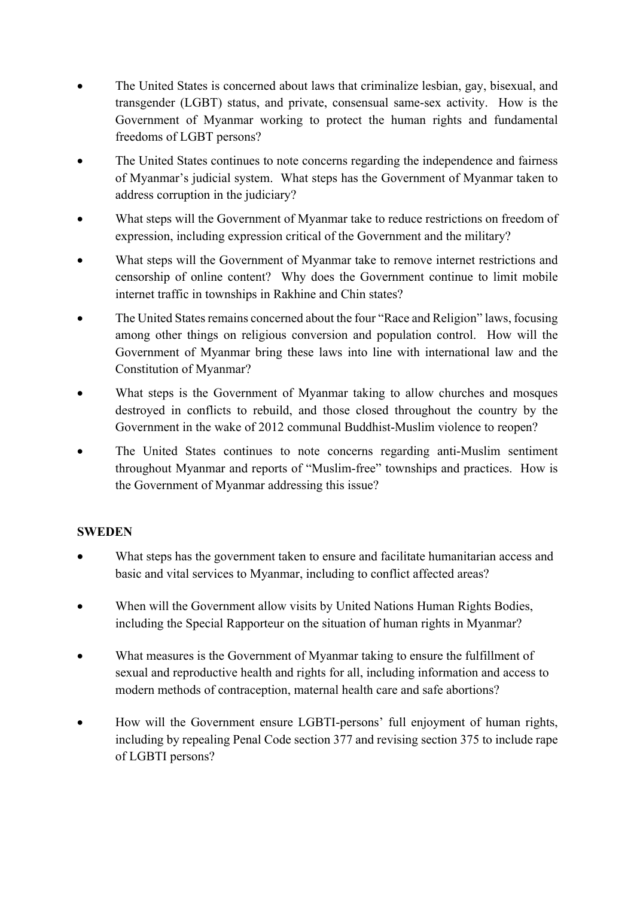- The United States is concerned about laws that criminalize lesbian, gay, bisexual, and transgender (LGBT) status, and private, consensual same-sex activity. How is the Government of Myanmar working to protect the human rights and fundamental freedoms of LGBT persons?
- The United States continues to note concerns regarding the independence and fairness of Myanmar's judicial system. What steps has the Government of Myanmar taken to address corruption in the judiciary?
- What steps will the Government of Myanmar take to reduce restrictions on freedom of expression, including expression critical of the Government and the military?
- What steps will the Government of Myanmar take to remove internet restrictions and censorship of online content? Why does the Government continue to limit mobile internet traffic in townships in Rakhine and Chin states?
- The United States remains concerned about the four "Race and Religion" laws, focusing among other things on religious conversion and population control. How will the Government of Myanmar bring these laws into line with international law and the Constitution of Myanmar?
- What steps is the Government of Myanmar taking to allow churches and mosques destroyed in conflicts to rebuild, and those closed throughout the country by the Government in the wake of 2012 communal Buddhist-Muslim violence to reopen?
- The United States continues to note concerns regarding anti-Muslim sentiment throughout Myanmar and reports of "Muslim-free" townships and practices. How is the Government of Myanmar addressing this issue?

## **SWEDEN**

- What steps has the government taken to ensure and facilitate humanitarian access and basic and vital services to Myanmar, including to conflict affected areas?
- When will the Government allow visits by United Nations Human Rights Bodies, including the Special Rapporteur on the situation of human rights in Myanmar?
- What measures is the Government of Myanmar taking to ensure the fulfillment of sexual and reproductive health and rights for all, including information and access to modern methods of contraception, maternal health care and safe abortions?
- How will the Government ensure LGBTI-persons' full enjoyment of human rights, including by repealing Penal Code section 377 and revising section 375 to include rape of LGBTI persons?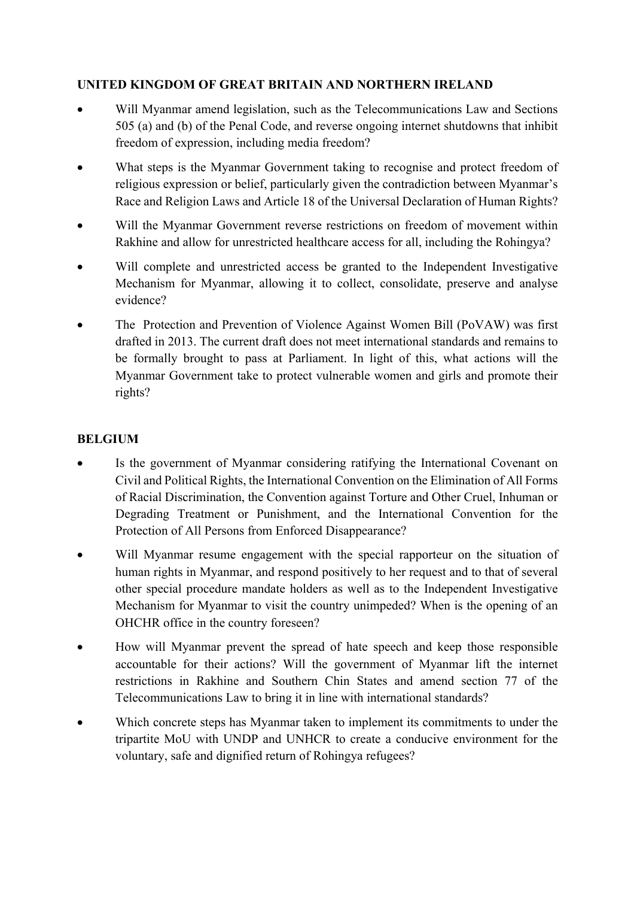### **UNITED KINGDOM OF GREAT BRITAIN AND NORTHERN IRELAND**

- Will Myanmar amend legislation, such as the Telecommunications Law and Sections 505 (a) and (b) of the Penal Code, and reverse ongoing internet shutdowns that inhibit freedom of expression, including media freedom?
- What steps is the Myanmar Government taking to recognise and protect freedom of religious expression or belief, particularly given the contradiction between Myanmar's Race and Religion Laws and Article 18 of the Universal Declaration of Human Rights?
- Will the Myanmar Government reverse restrictions on freedom of movement within Rakhine and allow for unrestricted healthcare access for all, including the Rohingya?
- Will complete and unrestricted access be granted to the Independent Investigative Mechanism for Myanmar, allowing it to collect, consolidate, preserve and analyse evidence?
- The Protection and Prevention of Violence Against Women Bill (PoVAW) was first drafted in 2013. The current draft does not meet international standards and remains to be formally brought to pass at Parliament. In light of this, what actions will the Myanmar Government take to protect vulnerable women and girls and promote their rights?

# **BELGIUM**

- Is the government of Myanmar considering ratifying the International Covenant on Civil and Political Rights, the International Convention on the Elimination of All Forms of Racial Discrimination, the Convention against Torture and Other Cruel, Inhuman or Degrading Treatment or Punishment, and the International Convention for the Protection of All Persons from Enforced Disappearance?
- Will Myanmar resume engagement with the special rapporteur on the situation of human rights in Myanmar, and respond positively to her request and to that of several other special procedure mandate holders as well as to the Independent Investigative Mechanism for Myanmar to visit the country unimpeded? When is the opening of an OHCHR office in the country foreseen?
- How will Myanmar prevent the spread of hate speech and keep those responsible accountable for their actions? Will the government of Myanmar lift the internet restrictions in Rakhine and Southern Chin States and amend section 77 of the Telecommunications Law to bring it in line with international standards?
- Which concrete steps has Myanmar taken to implement its commitments to under the tripartite MoU with UNDP and UNHCR to create a conducive environment for the voluntary, safe and dignified return of Rohingya refugees?